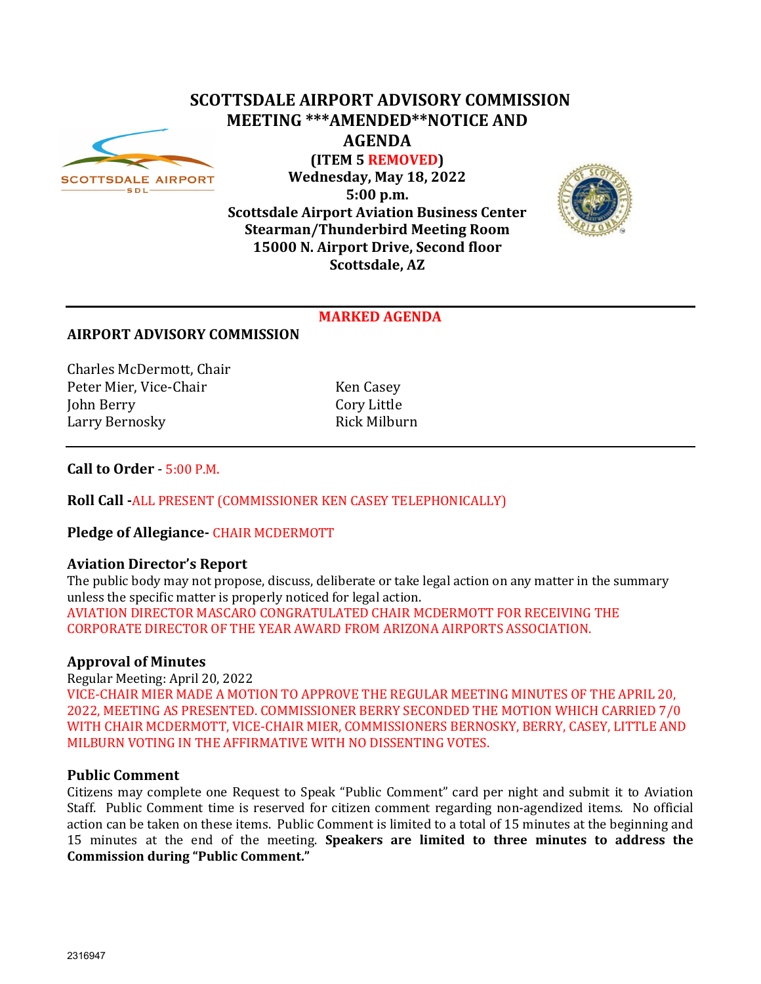

**SCOTTSDALE AIRPORT ADVISORY COMMISSION MEETING \*\*\*AMENDED\*\*NOTICE AND AGENDA**

> **(ITEM 5 REMOVED) Wednesday, May 18, 2022 5:00 p.m.**



**Scottsdale Airport Aviation Business Center Stearman/Thunderbird Meeting Room 15000 N. Airport Drive, Second floor Scottsdale, AZ**

# **MARKED AGENDA**

# **AIRPORT ADVISORY COMMISSION**

Charles McDermott, Chair Peter Mier, Vice-Chair Ken Casey<br>
Iohn Berry Cory Little John Berry Cory Little Larry Bernosky

# **Call to Order** - 5:00 P.M.

# **Roll Call -**ALL PRESENT (COMMISSIONER KEN CASEY TELEPHONICALLY)

# **Pledge of Allegiance-** CHAIR MCDERMOTT

#### **Aviation Director's Report**

The public body may not propose, discuss, deliberate or take legal action on any matter in the summary unless the specific matter is properly noticed for legal action. AVIATION DIRECTOR MASCARO CONGRATULATED CHAIR MCDERMOTT FOR RECEIVING THE CORPORATE DIRECTOR OF THE YEAR AWARD FROM ARIZONA AIRPORTS ASSOCIATION.

# **Approval of Minutes**

Regular Meeting: April 20, 2022 VICE-CHAIR MIER MADE A MOTION TO APPROVE THE REGULAR MEETING MINUTES OF THE APRIL 20, 2022, MEETING AS PRESENTED. COMMISSIONER BERRY SECONDED THE MOTION WHICH CARRIED 7/0 WITH CHAIR MCDERMOTT, VICE-CHAIR MIER, COMMISSIONERS BERNOSKY, BERRY, CASEY, LITTLE AND MILBURN VOTING IN THE AFFIRMATIVE WITH NO DISSENTING VOTES.

#### **Public Comment**

Citizens may complete one Request to Speak "Public Comment" card per night and submit it to Aviation Staff. Public Comment time is reserved for citizen comment regarding non-agendized items. No official action can be taken on these items. Public Comment is limited to a total of 15 minutes at the beginning and 15 minutes at the end of the meeting. **Speakers are limited to three minutes to address the Commission during "Public Comment."**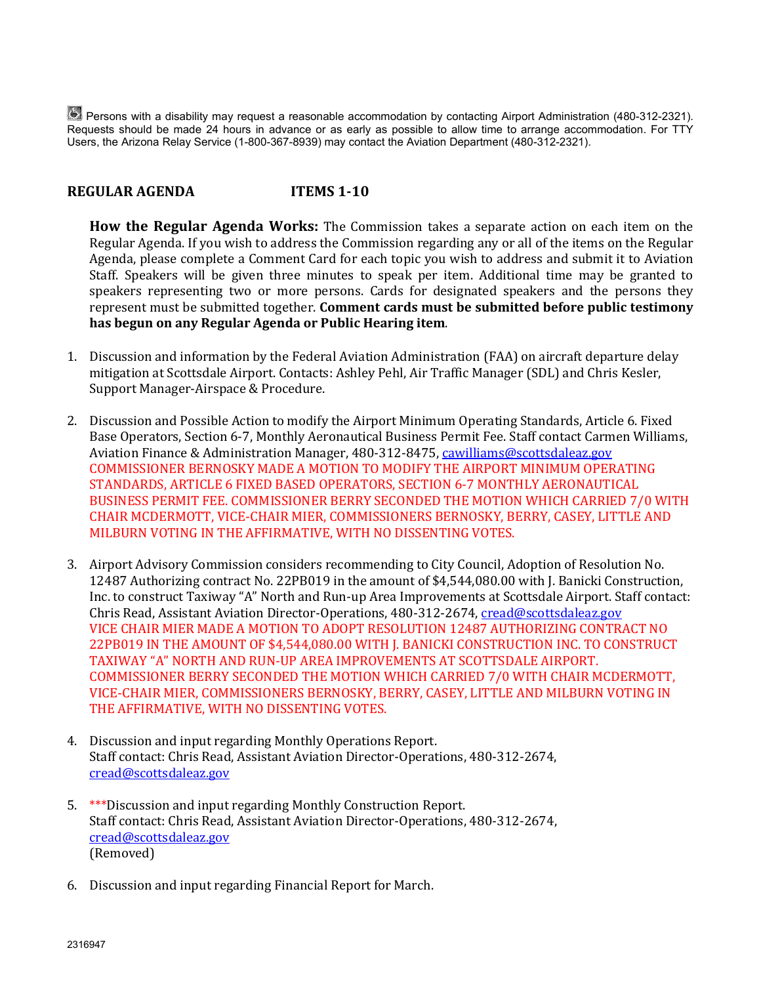Persons with a disability may request a reasonable accommodation by contacting Airport Administration (480-312-2321). Requests should be made 24 hours in advance or as early as possible to allow time to arrange accommodation. For TTY Users, the Arizona Relay Service (1-800-367-8939) may contact the Aviation Department (480-312-2321).

# **REGULAR AGENDA ITEMS 1-10**

**How the Regular Agenda Works:** The Commission takes a separate action on each item on the Regular Agenda. If you wish to address the Commission regarding any or all of the items on the Regular Agenda, please complete a Comment Card for each topic you wish to address and submit it to Aviation Staff. Speakers will be given three minutes to speak per item. Additional time may be granted to speakers representing two or more persons. Cards for designated speakers and the persons they represent must be submitted together. **Comment cards must be submitted before public testimony has begun on any Regular Agenda or Public Hearing item**.

- 1. Discussion and information by the Federal Aviation Administration (FAA) on aircraft departure delay mitigation at Scottsdale Airport. Contacts: Ashley Pehl, Air Traffic Manager (SDL) and Chris Kesler, Support Manager-Airspace & Procedure.
- 2. Discussion and Possible Action to modify the Airport Minimum Operating Standards, Article 6. Fixed Base Operators, Section 6-7, Monthly Aeronautical Business Permit Fee. Staff contact Carmen Williams, Aviation Finance & Administration Manager, 480-312-8475, [cawilliams@scottsdaleaz.gov](mailto:cawilliams@scottsdaleaz.gov) COMMISSIONER BERNOSKY MADE A MOTION TO MODIFY THE AIRPORT MINIMUM OPERATING STANDARDS, ARTICLE 6 FIXED BASED OPERATORS, SECTION 6-7 MONTHLY AERONAUTICAL BUSINESS PERMIT FEE. COMMISSIONER BERRY SECONDED THE MOTION WHICH CARRIED 7/0 WITH CHAIR MCDERMOTT, VICE-CHAIR MIER, COMMISSIONERS BERNOSKY, BERRY, CASEY, LITTLE AND MILBURN VOTING IN THE AFFIRMATIVE, WITH NO DISSENTING VOTES.
- 3. Airport Advisory Commission considers recommending to City Council, Adoption of Resolution No. 12487 Authorizing contract No. 22PB019 in the amount of \$4,544,080.00 with J. Banicki Construction, Inc. to construct Taxiway "A" North and Run-up Area Improvements at Scottsdale Airport. Staff contact: Chris Read, Assistant Aviation Director-Operations, 480-312-2674[, cread@scottsdaleaz.gov](mailto:cread@scottsdaleaz.gov) VICE CHAIR MIER MADE A MOTION TO ADOPT RESOLUTION 12487 AUTHORIZING CONTRACT NO 22PB019 IN THE AMOUNT OF \$4,544,080.00 WITH J. BANICKI CONSTRUCTION INC. TO CONSTRUCT TAXIWAY "A" NORTH AND RUN-UP AREA IMPROVEMENTS AT SCOTTSDALE AIRPORT. COMMISSIONER BERRY SECONDED THE MOTION WHICH CARRIED 7/0 WITH CHAIR MCDERMOTT, VICE-CHAIR MIER, COMMISSIONERS BERNOSKY, BERRY, CASEY, LITTLE AND MILBURN VOTING IN THE AFFIRMATIVE, WITH NO DISSENTING VOTES.
- 4. Discussion and input regarding Monthly Operations Report. Staff contact: Chris Read, Assistant Aviation Director-Operations, 480-312-2674, [cread@scottsdaleaz.gov](mailto:cread@scottsdaleaz.gov)
- 5. \*\*\*Discussion and input regarding Monthly Construction Report. Staff contact: Chris Read, Assistant Aviation Director-Operations, 480-312-2674, [cread@scottsdaleaz.gov](mailto:cread@scottsdaleaz.gov) (Removed)
- 6. Discussion and input regarding Financial Report for March.